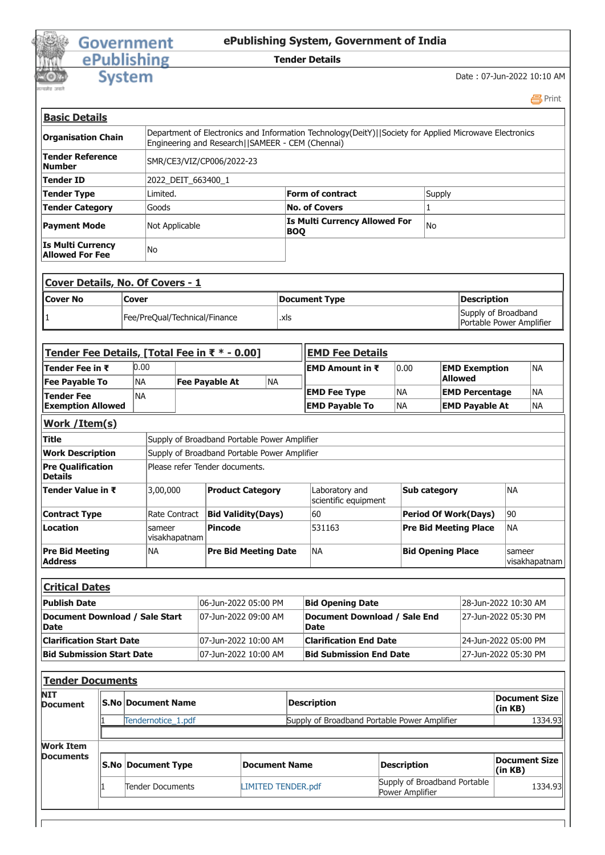## Government<br>
ePublishing<br>
System

## **ePublishing System, Government of India**

## **Tender Details**

Date : 07-Jun-2022 10:10 AM

 [Print](javascript:void(0);)

| <b>Basic Details</b>                               |                           |                                                                                                                                                            |        |
|----------------------------------------------------|---------------------------|------------------------------------------------------------------------------------------------------------------------------------------------------------|--------|
| <b>Organisation Chain</b>                          |                           | Department of Electronics and Information Technology(DeitY)  Society for Applied Microwave Electronics<br>Engineering and Research  SAMEER - CEM (Chennai) |        |
| <b>Tender Reference</b><br>lNumber                 | SMR/CE3/VIZ/CP006/2022-23 |                                                                                                                                                            |        |
| Tender ID                                          | 2022 DEIT 663400 1        |                                                                                                                                                            |        |
| <b>Tender Type</b>                                 | Limited.                  | Form of contract                                                                                                                                           | Supply |
| <b>Tender Category</b>                             | Goods                     | <b>No. of Covers</b>                                                                                                                                       |        |
| <b>Payment Mode</b>                                | Not Applicable            | <b>Is Multi Currency Allowed For</b><br><b>BOO</b>                                                                                                         | lNo    |
| <b>Is Multi Currency</b><br><b>Allowed For Fee</b> | No                        |                                                                                                                                                            |        |

|                  | <b>Cover Details, No. Of Covers - 1</b> |               |                                                 |
|------------------|-----------------------------------------|---------------|-------------------------------------------------|
| <b>ICover No</b> | <b>Cover</b>                            | Document Type | Description                                     |
|                  | Fee/PreQual/Technical/Finance           | .xls          | Supply of Broadband<br>Portable Power Amplifier |

| Tender Fee Details, [Total Fee in ₹ * - 0.00] |               |                                              |                                              |     | <b>EMD Fee Details</b>                      |                          |                              |        |               |
|-----------------------------------------------|---------------|----------------------------------------------|----------------------------------------------|-----|---------------------------------------------|--------------------------|------------------------------|--------|---------------|
| Tender Fee in ₹                               | 0.00          |                                              |                                              |     | <b>EMD Amount in <math>\bar{x}</math></b>   | 0.00                     | <b>EMD Exemption</b>         |        | INA           |
| <b>Fee Payable To</b>                         | <b>NA</b>     |                                              | <b>Fee Payable At</b>                        | NA. |                                             |                          | <b>Allowed</b>               |        |               |
| <b>Tender Fee</b>                             | <b>NA</b>     |                                              |                                              |     | <b>EMD Fee Type</b>                         | <b>NA</b>                | <b>EMD Percentage</b>        |        | <b>NA</b>     |
| <b>Exemption Allowed</b>                      |               |                                              |                                              |     | <b>EMD Payable To</b>                       | NA)                      | <b>EMD Payable At</b>        |        | NA            |
| Work / Item(s)                                |               |                                              |                                              |     |                                             |                          |                              |        |               |
| <b>Title</b>                                  |               | Supply of Broadband Portable Power Amplifier |                                              |     |                                             |                          |                              |        |               |
| <b>Work Description</b>                       |               |                                              | Supply of Broadband Portable Power Amplifier |     |                                             |                          |                              |        |               |
| <b>Pre Qualification</b><br><b>IDetails</b>   |               |                                              | Please refer Tender documents.               |     |                                             |                          |                              |        |               |
| Tender Value in ₹                             | 3,00,000      |                                              | <b>Product Category</b>                      |     | Laboratory and<br>scientific equipment      | Sub category             |                              | İNA    |               |
| <b>Contract Type</b>                          | Rate Contract |                                              | <b>Bid Validity(Days)</b>                    |     | 60                                          |                          | <b>Period Of Work(Days)</b>  | 90     |               |
| <b>ILocation</b>                              | sameer        | visakhapatnam                                | <b>Pincode</b>                               |     | 531163                                      |                          | <b>Pre Bid Meeting Place</b> | lna    |               |
| <b>Pre Bid Meeting</b><br><b>Address</b>      | <b>NA</b>     |                                              | <b>Pre Bid Meeting Date</b>                  |     | <b>NA</b>                                   | <b>Bid Opening Place</b> |                              | sameer | visakhapatnam |
|                                               |               |                                              |                                              |     |                                             |                          |                              |        |               |
| <b>Critical Dates</b>                         |               |                                              |                                              |     |                                             |                          |                              |        |               |
| Publish Date                                  |               |                                              | 06-Jun-2022 05:00 PM                         |     | <b>Bid Opening Date</b>                     |                          | 28-Jun-2022 10:30 AM         |        |               |
| Document Download / Sale Start<br> Date       |               |                                              | 07-Jun-2022 09:00 AM                         |     | Document Download / Sale End<br><b>Date</b> |                          | 27-Jun-2022 05:30 PM         |        |               |

| <b>IDate</b>                     |                       | Date                           |                      |
|----------------------------------|-----------------------|--------------------------------|----------------------|
| lClarification Start Date        | 107-Jun-2022 10:00 AM | <b>Clarification End Date</b>  | 24-Jun-2022 05:00 PM |
| <b>Bid Submission Start Date</b> | 107-Jun-2022 10:00 AM | <b>Bid Submission End Date</b> | 27-Jun-2022 05:30 PM |
|                                  |                       |                                |                      |
|                                  |                       |                                |                      |

|                    | <b>Description</b>                                                                 |                                                 | Document Size  <br>(in KB)                   |
|--------------------|------------------------------------------------------------------------------------|-------------------------------------------------|----------------------------------------------|
| Tendernotice 1.pdf |                                                                                    |                                                 | 1334.93                                      |
|                    |                                                                                    |                                                 |                                              |
|                    |                                                                                    |                                                 |                                              |
|                    | Document Name                                                                      | <b>Description</b>                              | Document Size  <br>(in KB)                   |
| Tender Documents   | <b>LIMITED TENDER.pdf</b>                                                          | Supply of Broadband Portable<br>Power Amplifier | 1334.93                                      |
|                    | <b>Tender Documents</b><br><b>IS.No Document Name</b><br><b>S.No Document Type</b> |                                                 | Supply of Broadband Portable Power Amplifier |